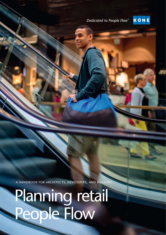Dedicated to People Flow<sup>™</sup>



A h andbook for architects, develo pers, and builders

# Planning retail People Flow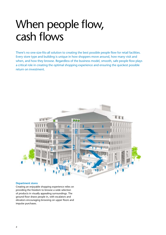### When people flow, cash flows

There's no one-size-fits-all solution to creating the best possible people flow for retail facilities. Every store type and building is unique in how shoppers move around, how many visit and when, and how they browse. Regardless of the business model, smooth, safe people flow plays a critical role in creating the optimal shopping experience and ensuring the quickest possible return on investment.



#### **Department stores**

Creating an enjoyable shopping experience relies on providing the freedom to browse a wide selection of products in visually appealing surroundings. The ground floor draws people in, with escalators and elevators encouraging browsing on upper floors and impulse purchases.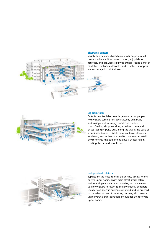

#### **Shopping centers**

Variety and balance characterize multi-purpose retail centers, where visitors come to shop, enjoy leisure activities, and eat. Accessibility is critical – using a mix of escalators, inclined autowalks, and elevators, shoppers are encouraged to visit all areas.





#### **Big-box stores**

Out-of-town facilities draw large volumes of people, with visitors coming for specific items, bulk buys, and savings, not to simply wander or window shop. Guiding shoppers along a defined route and encouraging impulse buys along the way is the basis of a profitable business. While there are fewer elevators, escalators, and inclined autowalks than in other retail environments, the equipment plays a critical role in creating the desired people flow.



#### **Independent retailers**

Typified by the need to offer quick, easy access to one or two upper floors, larger main-street stores often feature a single escalator, an elevator, and a staircase to allow visitors to return to the lower level. Shoppers usually have specific purchases in mind and so proceed to the relevant part of the store, but may also browse. Visible vertical transportation encourages them to visit upper floors.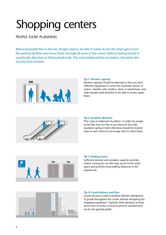## Shopping centers

### people flow planning

Balanced people flow is the key. People need to be able to easily access the retail space from the parking facilities and move freely through all areas of the center without feeling forced in a particular direction or hitting dead ends. The more balanced the circulation, the better the income from tenants.



#### **Tip 1: Elevator capacity**

Elevator capacity should be planned so that you have sufficient equipment to serve the expected volume of visitors. Families with strollers, those in wheelchairs, and older people need elevators to be able to access upper floors.



#### **Tip 2: Escalator direction**

This is key to balanced circulation. In order for people to feel like they are free to go wherever they like, escalators going in both directions should be located close to each other to encourage visits to other floors.



#### **Tip 3: Parking access**

Sufficient elevator and escalator capacity provides visitors coming by car with easy access to the retail space and prevents long walking distances to the nearest exit.



#### **Tip 4: Goods delivery and flow**

Goods elevators need to facilitate efficient distribution of goods throughout the center without disrupting the shopping experience. Typically these elevators include some form of access control to prevent unauthorized use by the general public.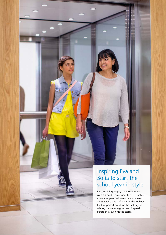

By combining bright, modern interiors with a smooth, quiet ride, KONE elevators make shoppers feel welcome and valued. So when Eva and Sofia are on the lookout for that perfect outfit for the first day of school, they're energized and inspired before they even hit the stores.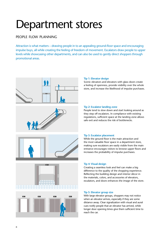## Department stores

### people flow planning

Attraction is what matters – drawing people in to an appealing ground-floor space and encouraging impulse buys, all while creating the feeling of freedom of movement. Escalators draw people to upper levels while showcasing other departments, and can also be used to gently direct shoppers through promotional areas.



#### **Tip 1: Elevator design**

Scenic elevators and elevators with glass doors create a feeling of openness, provide visibility over the whole store, and increase the likelihood of impulse purchases.

#### **Tip 2: Escalator landing zone**

People tend to slow down and start looking around as they step off escalators. In compliance with existing regulations, sufficient space at the landing zone allows safe exit and reduces the risk of bottlenecks.

#### **Tip 3: Escalator placement**

While the ground floor is the main attraction and the most valuable floor space in a department store, making sure escalators are easily visible from the main entrance encourages visitors to browse upper floors and increases the probability of impulse purchases.

#### **Tip 4: Visual design**

Creating a seamless look and feel can make a big difference to the quality of the shopping experience. Reflecting the building design and interior décor in the materials, colors, and accessories of elevators, escalators, and doors enhances the image of the store.

#### **Tip 5: Elevator group size**

With large elevator groups, shoppers may not notice when an elevator arrives, especially if they are some distance away. Clear signalization with visual and aural cues notify people that an elevator has arrived, while longer door opening times give them sufficient time to reach the car.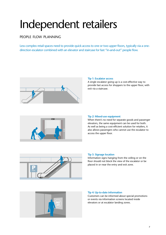## Independent retailers

### people flow planning

Less complex retail spaces need to provide quick access to one or two upper floors, typically via a onedirection escalator combined with an elevator and staircase for fast "in-and-out" people flow.



#### **Tip 1: Escalator access**

A single escalator going up is a cost-effective way to provide fast access for shoppers to the upper floor, with exit via a staircase.



#### **Tip 2: Mixed-use equipment**

When there's no need for separate goods and passenger elevators, the same equipment can be used for both. As well as being a cost-efficient solution for retailers, it also allows passengers who cannot use the escalator to access the upper floor.



#### **Tip 3: Signage location**

Information signs hanging from the ceiling or on the floor should not block the view of the escalator or be placed in or near the entry and exit zone.



#### **Tip 4: Up-to-date information**

Customers can be informed about special promotions or events via information screens located inside elevators or at escalator landing zones.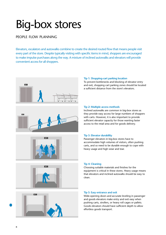## Big-box stores

### people flow planning

Elevators, escalators and autowalks combine to create the desired routed flow that means people visit every part of the store. Despite typically visiting with specific items in mind, shoppers are encouraged to make impulse purchases along the way. A mixture of inclined autowalks and elevators will provide convenient access for all shoppers.











#### **Tip 1: Shopping-cart parking location**

To prevent bottlenecks and blocking of elevator entry and exit, shopping cart parking zones should be located a sufficient distance from the store's elevators.

#### **Tip 2: Multiple access methods**

Inclined autowalks are common in big-box stores as they provide easy access for large numbers of shoppers with carts. However, it is also important to provide sufficient elevator capacity for those wanting faster access to the retail area and for goods delivery.

#### **Tip 3: Elevator durability**

Passenger elevators in big-box stores have to accommodate high volumes of visitors, often pushing carts, and so need to be durable enough to cope with heavy usage and high wear and tear.

#### **Tip 4: Cleaning**

Choosing suitable materials and finishes for the equipment is critical in these stores. Heavy usage means that elevators and inclined autowalks should be easy to clean.

#### **Tip 5: Easy entrance and exit**

Wide-opening doors and accurate leveling in passenger and goods elevators make entry and exit easy when pushing carts, strollers, or heavy roll cages or pallets. Goods elevators should have sufficient depth to allow effortless goods transport.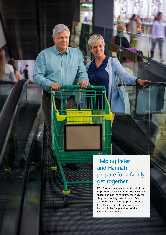

KONE inclined autowalks are the ideal way to provide convenient access between retail spaces and parking facilities, especially for shoppers pushing carts. So when Peter and Hannah are picking up the groceries for a family dinner, they know the only hard work they've got ahead of them is choosing what to eat.

,,,,,,,,,,,,,,,,,,,,,,,,

,,,,,,,,,,,,,,,,,,,,,,,,,,,,,,,,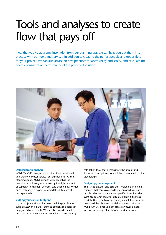## Tools and analyses to create flow that pays off

Now that you've got some inspiration from our planning tips, we can help you put them into practice with our tools and services. In addition to creating the perfect people and goods flow for your project, we can also advise on best practices for accessibility and safety, and calculate the energy consumption performance of the proposed solutions.



#### **Detailed traffic analysis**

KONE TrafCal™ analysis determines the correct level and type of elevator service for your building. At the planning stage, KONE experts will check that the proposed solutions give you exactly the right amount of capacity to maintain smooth, safe people flow. Under or overcapacity is expensive and difficult to correct retrospectively.

#### **Cutting your carbon footprint**

If your project is aiming for green building certification such as LEED or BREEAM, our eco-efficient solutions can help you achieve credits. We can also provide detailed declarations on their environmental impact, and energy

calculation tools that demonstrate the annual and lifetime consumption of our solutions compared to other technologies.

#### **Designing your equipment**

The KONE Elevator and Escalator Toolbox is an online resource that contains everything you need to create detailed elevator and escalator specifications, including customized CAD drawings and 3D building interface models. Once you have specified your solution, you can download the plans and models you need. With the KONE Car Designer you can create a virtual elevator interior, including colors, finishes, and accessories.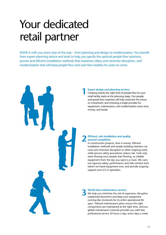## Your dedicated retail partner

KONE is with you every step of the way – from planning and design to modernization. You benefit from expert planning advice and tools to help you specify the optimal people flow solutions, proven and efficient installation methods that maximize safety and minimize disruption, and modernization that will keep people flow and cash flow healthy for years to come.

### **Expert design and planning services 1**

Creating exactly the right kind of people flow for your retail facility starts at the planning stage. Our people and goods flow expertise will help maximize the return on investment, and choosing a single provider for equipment, maintenance, and modernization saves time, money, and hassle.

#### **Efficient, safe installation and qualityassured completion 2**

In construction projects, time is money. Efficient installation methods and simple building interface cut costs and minimize disruption to other ongoing work, while proven safety procedures reduce risk. Cash only starts flowing once people start flowing, so reliable equipment from the day you open is a must. We carry out rigorous safety, performance and ride-comfort tests before we hand equipment over, and provide ongoing support once it's in operation.

### **World-class maintenance services 3**

We help you minimize the risk of expensive, disruptive unplanned downtime and keep your equipment running like clockwork for its entire operational life span. Tailored maintenance plans ensure the right components are maintained at the right time, and our global maintenance network provides you with fast, professional service 24 hours a day, seven days a week.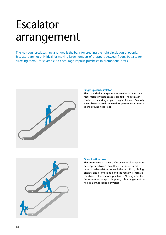## Escalator arrangement

The way your escalators are arranged is the basis for creating the right circulation of people. Escalators are not only ideal for moving large numbers of shoppers between floors, but also for directing them – for example, to encourage impulse purchases in promotional areas.



#### **Single upward escalator**

This is an ideal arrangement for smaller independent retail facilities where space is limited. The escalator can be free standing or placed against a wall. An easily accessible staircase is required for passengers to return to the ground floor level.



#### **One-direction flow**

This arrangement is a cost-effective way of transporting passengers between three floors. Because visitors have to make a detour to reach the next floor, placing displays and promotions along the route will increase the chance of unplanned purchases. Although not the fastest way to transport shoppers, this arrangement can help maximize spend per visitor.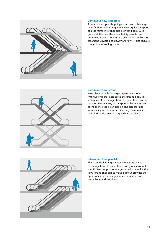

#### **Continuous flow, criss-cross**

A common setup in shopping centers and other large retail facilities, this arrangement allows quick transport of large numbers of shoppers between floors. With good visibility over the whole facility, people can browse other departments or stores while traveling. By separating upward and downward flows, it also reduces congestion in landing zones.



#### **Continuous flow, scissor**

Particularly suitable for larger department stores with two or more levels above the ground floor, this arrangement encourages travel to upper floors and is the most efficient way of transporting large numbers of shoppers. People can step off one escalator and immediately access another, allowing them to reach their desired destination as quickly as possible.



#### **Interrupted flow, parallel**

This is an ideal arrangement when your goal is to encourage travel to upper floors and give exposure to specific items or promotions. Just as with one-direction flow, forcing shoppers to make a detour provides the opportunity to encourage impulse purchases and maximize spend per visitor.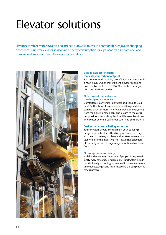## Elevator solutions

Elevators combine with escalators and inclined autowalks to create a comfortable, enjoyable shopping experience. Our retail elevator solutions cut energy consumption, give passengers a smooth ride, and make a great impression with their eye-catching design.



#### **Best-in-class eco-efficiency that cuts your carbon footprint**

For modern retail facilities, eco-efficiency is increasingly a must-have. Our energy-efficient elevator solutions – powered by the KONE EcoDisc® – can help you gain LEED and BREEAM credits.

#### **Ride comfort that enhances the shopping experience**

Comfortable, convenient elevators add value to your retail facility, boost its reputation, and keeps visitors coming back for more. In a KONE elevator, everything from the hoisting machinery and brakes to the car is designed for a smooth, quiet ride. We never hand over an elevator before it passes our strict ride comfort tests.

#### **Design that makes a lasting impression**

Your elevators should complement your building's design and make it an attractive place to shop. They also need to be easy to clean and resistant to wear and tear. We offer the industry's most extensive selection of car designs, with a huge range of options to choose from.

#### **No compromises on safety**

With hundreds or even thousands of people visiting a retail facility every day, safety is paramount. Our elevators include the latest safety technology as standard to ensure maximum safety for passengers and make inspecting the equipment as easy as possible.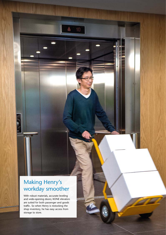### Making Henry's workday smoother

 $6 - 10$ 

With robust materials, accurate leveling and wide-opening doors; KONE elevators are suited for both passenger and goods traffic. So when Henry is restocking the shop inventory, he has easy access from storage to store.